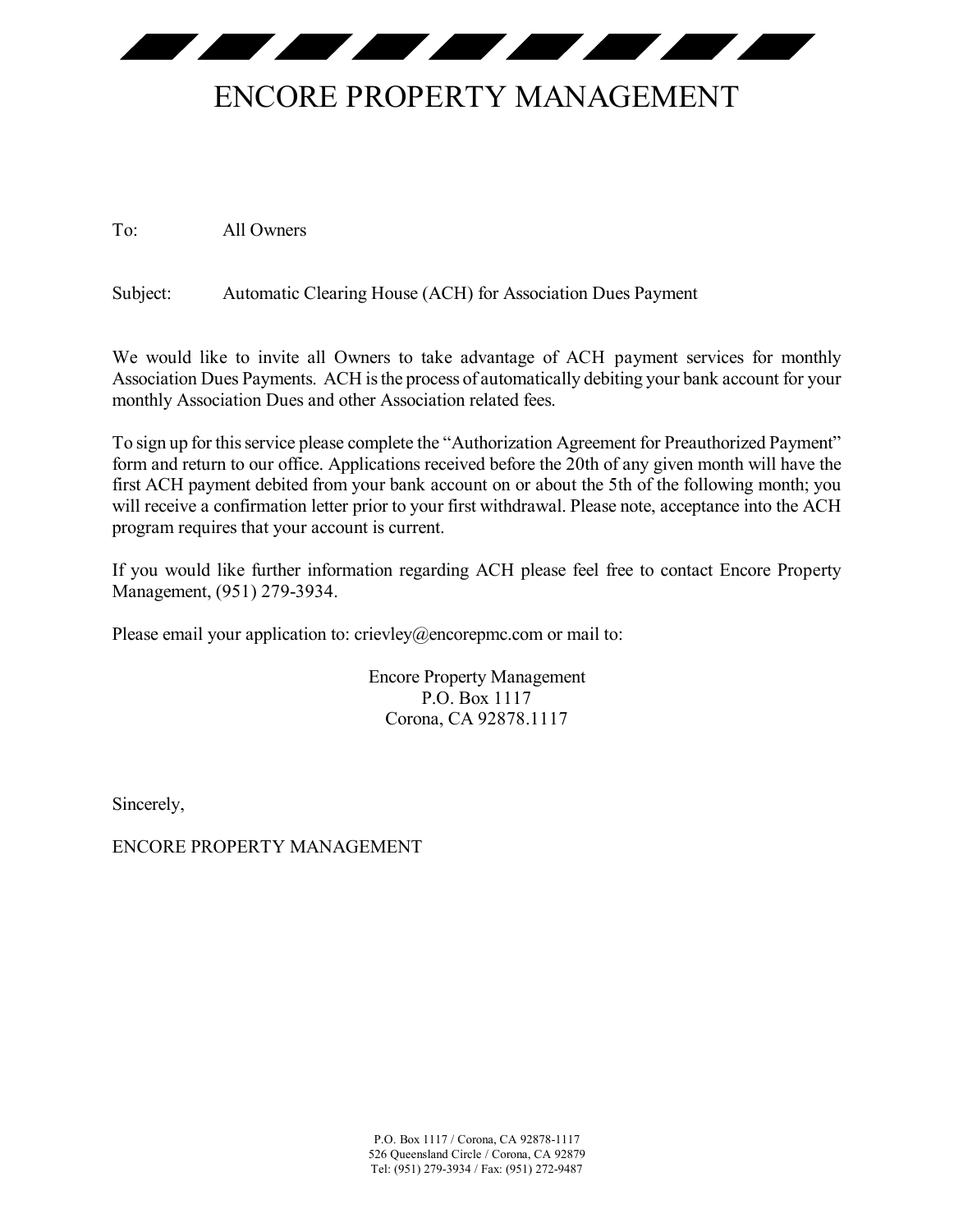<u> The Community of the Community of the Community of the Community of the Community of the Community of the Community of the Community of the Community of the Community of the Community of the Community of the Community of</u>

## ENCORE PROPERTY MANAGEMENT

To: All Owners

Subject: Automatic Clearing House (ACH) for Association Dues Payment

We would like to invite all Owners to take advantage of ACH payment services for monthly Association Dues Payments. ACH is the process of automatically debiting your bank account for your monthly Association Dues and other Association related fees.

To sign up for this service please complete the "Authorization Agreement for Preauthorized Payment" form and return to our office. Applications received before the 20th of any given month will have the first ACH payment debited from your bank account on or about the 5th of the following month; you will receive a confirmation letter prior to your first withdrawal. Please note, acceptance into the ACH program requires that your account is current.

If you would like further information regarding ACH please feel free to contact Encore Property Management, (951) 279-3934.

Please email your application to: crievley@encorepmc.com or mail to:

Encore Property Management P.O. Box 1117 Corona, CA 92878.1117

Sincerely,

ENCORE PROPERTY MANAGEMENT